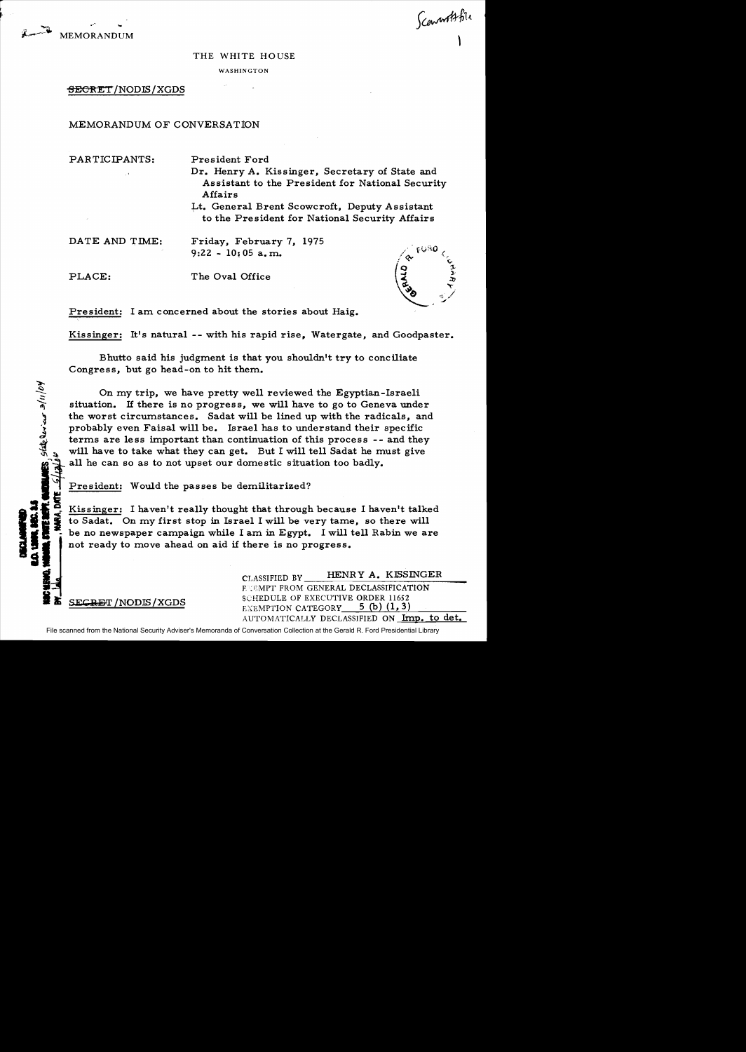

Sconnorthfile

## THE WHITE HOUSE

**WASHINGTON** 

## <del>SECRE</del>T/NODIS/XGDS

MEMORANDUM OF CONVERSATioN

PARTICIPANTS: President Ford

- Dr. Henry A. Kissinger, Secretary of State and Assistant to the President for National Security Affairs
- Lt. General Brent Scowcroft, Deputy Assistant to the President for National Security Affairs

DATE AND TIME: Friday, February 7, 1975  $9:22 - 10:05$  a.m.

~  $\frac{1}{2}$ **\right** 

كلمان أواره

**2** 

CHENO.

PLACE: The Oval Office



President: I am concerned about the stories about Haig.

Kissinger: It's natural -- with his rapid rise, Watergate, and Goodpaster.

Bhutto said his judgment is that you shouldn't try to conciliate Congress, but go head-on to hit them.

On my trip, we have pretty well reviewed the Egyptian-Israeli situation. If there is no progress, we will have to go to Geneva under the worst circumstances. Sadat will be lined up with the radicals, and probably even Faisal will be. Israel has to understand their specific terms are less important than continuation of this process -- and they will have to take what they can get. But I will tell Sadat he must give all he can so as to not upset our domestic situation too badly.<br>President: Would the passes be demilitarized?

Kissinger: I haven't really thought that through because I haven't talked<br>to Sadat. On my first stop in Israel I will be very tame, so there will  $\frac{b}{n}$  be no newspaper campaign while I am in Egypt. I will tell Rabin we are The State of Sadat. On my first stop in Israel I will be very tame, so there will be no newspaper campaign while I am in Egypt. I will tell Rabin we are not ready to move ahead on aid if there is no progress. SI is to Sadat. On my first stop in Israel I will be very tame<br>
SI is the no newspaper campaign while I am in Egypt. I will there is no progress.

CLASSIFIED BY HENRY A. KISSINGER<br>FROM GENERAL DECLASSIFICATION **SECRET /NODIS / XGDS** SCHEDULE OF EXECUTIVE ORDER 11652<br>EXEMPTION CATEGORY 5 (b) (1,3) AUTOMATICALLY DECLASSIFIED ON Imp. to det.

File scanned from the National Security Adviser's Memoranda of Conversation Collection at the Gerald R. Ford Presidential Library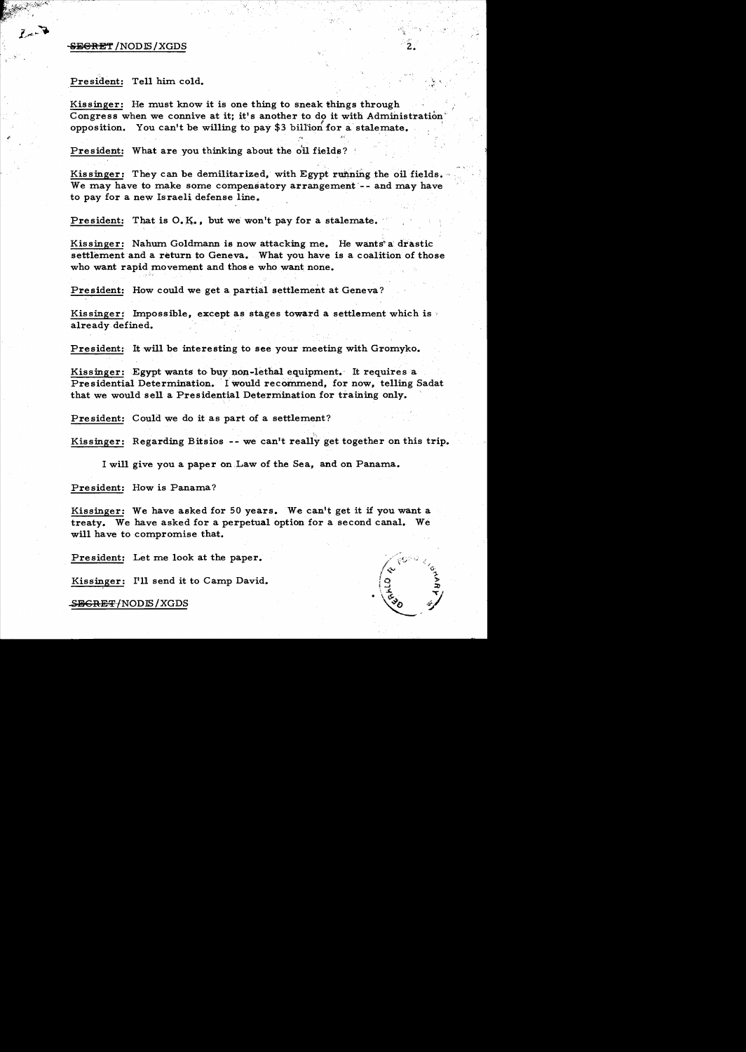## <del>SEGRET</del>/NODIS/XGDS

## President: Tell him cold.

Kissinger: He must know it is one thing to sneak things through Congress when we connive at it; it's another to do it with Administration opposition. You can't be willing to pay \$3 billion for a stalemate.

President: What are you thinking about the oil fields?

Kissinger: They can be demilitarized, with Egypt running the oil fields. We may have to make some compensatory arrangement -- and may have to pay for a new Israeli defense line.

President: That is O.K., but we won't pay for a stalemate.

Kissinger: Nahum Goldmann is now attacking me. He wants a drastic settlement and a return to Geneva. What you have is a coalition of those who want rapid movement and those who want none.

President: How could we get a partial settlement at Geneva?

Kissinger: Impossible, except as stages toward a settlement which is  $\overline{\ }$ already defined.

President: It will be interesting to see your meeting with Gromyko.

Kissinger: Egypt wants to buy non-lethal equipment. It requires a Presidential Determination. I would recommend, for now, telling Sadat that we would sell a Presidential Determination for training only.

President: Could we do it as part of a settlement?

Kissinger: Regarding Bitsios -- we can't really get together on this trip.

I will give you a paper on Law of the Sea, and on Panama.

President: How is Panama?

Kissinger: We have asked for 50 years. We can't get it if you want a treaty. We have asked for a perpetual option for a second canal. We will have to compromise that.

President: Let me look at the paper.

Kissinger: I'll send it to Camp David.

SEGRET/NODIS/XGDS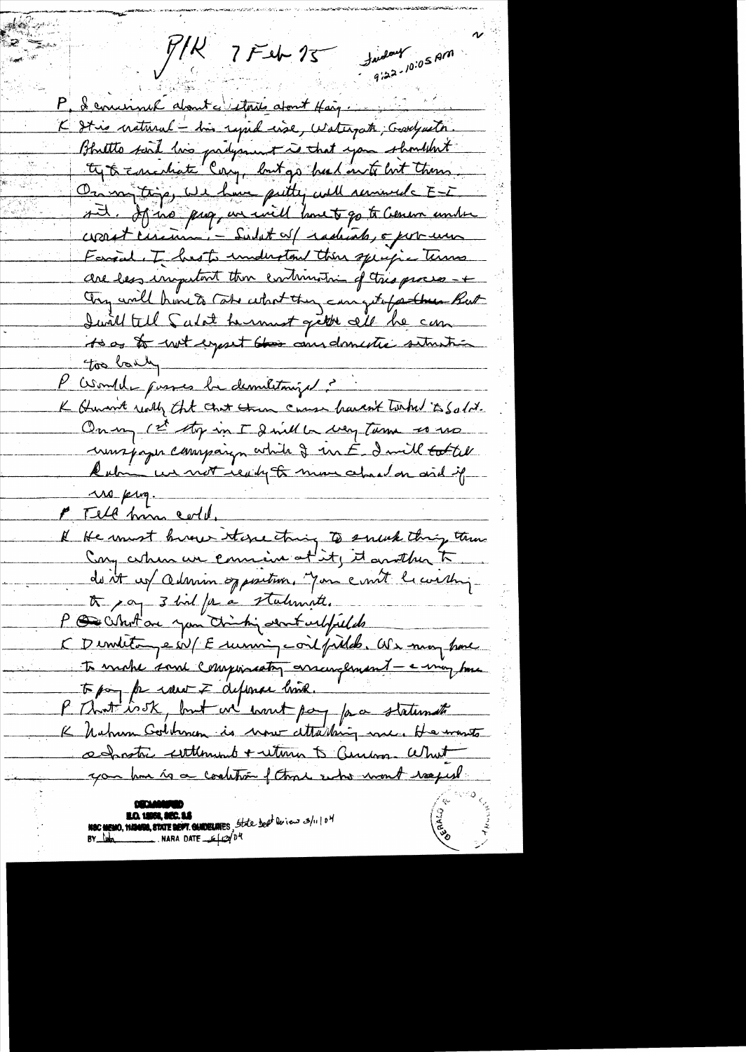failey 10:05 AM  $Y/R$   $7$   $F$   $46$   $75$ P, I cominct about c'interis about Haig. K It is cratural - his rapid cise, Waterpath; Gardyaeth. Bhatto said his padyment is that you shouldn't ty to concertate Corry, but go head on to but them. On my trys, we have putty will remember E-I sit. If no prop, we will havet go to Cener unter Forgal. I has to understand their specific terms are less inspitant then continuation of this process -+ Try will have to take what they can get farther But Juill till Salat hermest gette all he can to as to wet expect this and domestic setuntion too laily " P Comple poures la demelitarie et K Humt really that that then cause haven't torthe is Solit. On my 1st stop in I doubt to way Turn so us unispaper company while I un E I will total Rubin un mot ready to mon about on and if  $\Delta x \sim \mu_{\text{up}}$ . PTell him cold. Il He must brown store thing to smart thing the du it ces admin opposition. Jon court le constant the pay 3 had for a stalunite. P De Whot are you thinking about welful do CDimitan est Esumin contpilds. Als may have To make some componenty encoupement - e may tome l'Unité issk, but we wont pay pa statements K Nahun Golbman is now attaching me, He wants admetre esttement + return 5 aucune What you have to a constrain of those who want reapest **EO. 19958, SEC. 15**<br>NSC MEMO, **11/3058, STATE DEPT. GUIDELINES**, State beat les contras 3/11/0<sup>H</sup><br>BY lum